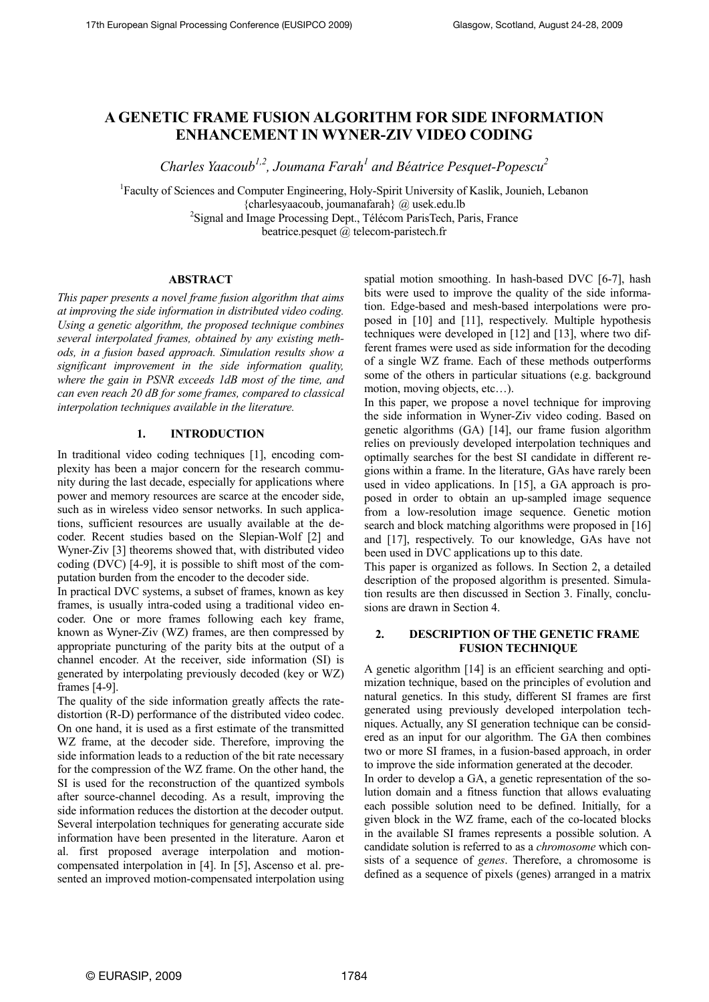# **A GENETIC FRAME FUSION ALGORITHM FOR SIDE INFORMATION ENHANCEMENT IN WYNER-ZIV VIDEO CODING**

*Charles Yaacoub<sup>1,2</sup>, Joumana Farah<sup>1</sup> and Béatrice Pesquet-Popescu<sup>2</sup>* 

<sup>1</sup>Faculty of Sciences and Computer Engineering, Holy-Spirit University of Kaslik, Jounieh, Lebanon {charlesyaacoub, joumanafarah} @ usek.edu.lb 2

<sup>2</sup>Signal and Image Processing Dept., Télécom ParisTech, Paris, France

beatrice.pesquet @ telecom-paristech.fr

# **ABSTRACT**

*This paper presents a novel frame fusion algorithm that aims at improving the side information in distributed video coding. Using a genetic algorithm, the proposed technique combines several interpolated frames, obtained by any existing methods, in a fusion based approach. Simulation results show a significant improvement in the side information quality, where the gain in PSNR exceeds 1dB most of the time, and can even reach 20 dB for some frames, compared to classical interpolation techniques available in the literature.* 

#### **1. INTRODUCTION**

In traditional video coding techniques [1], encoding complexity has been a major concern for the research community during the last decade, especially for applications where power and memory resources are scarce at the encoder side, such as in wireless video sensor networks. In such applications, sufficient resources are usually available at the decoder. Recent studies based on the Slepian-Wolf [2] and Wyner-Ziv [3] theorems showed that, with distributed video coding (DVC) [4-9], it is possible to shift most of the computation burden from the encoder to the decoder side.

In practical DVC systems, a subset of frames, known as key frames, is usually intra-coded using a traditional video encoder. One or more frames following each key frame, known as Wyner-Ziv (WZ) frames, are then compressed by appropriate puncturing of the parity bits at the output of a channel encoder. At the receiver, side information (SI) is generated by interpolating previously decoded (key or WZ) frames [4-9].

The quality of the side information greatly affects the ratedistortion (R-D) performance of the distributed video codec. On one hand, it is used as a first estimate of the transmitted WZ frame, at the decoder side. Therefore, improving the side information leads to a reduction of the bit rate necessary for the compression of the WZ frame. On the other hand, the SI is used for the reconstruction of the quantized symbols after source-channel decoding. As a result, improving the side information reduces the distortion at the decoder output. Several interpolation techniques for generating accurate side information have been presented in the literature. Aaron et al. first proposed average interpolation and motioncompensated interpolation in [4]. In [5], Ascenso et al. presented an improved motion-compensated interpolation using spatial motion smoothing. In hash-based DVC [6-7], hash bits were used to improve the quality of the side information. Edge-based and mesh-based interpolations were proposed in [10] and [11], respectively. Multiple hypothesis techniques were developed in [12] and [13], where two different frames were used as side information for the decoding of a single WZ frame. Each of these methods outperforms some of the others in particular situations (e.g. background motion, moving objects, etc…).

In this paper, we propose a novel technique for improving the side information in Wyner-Ziv video coding. Based on genetic algorithms (GA) [14], our frame fusion algorithm relies on previously developed interpolation techniques and optimally searches for the best SI candidate in different regions within a frame. In the literature, GAs have rarely been used in video applications. In [15], a GA approach is proposed in order to obtain an up-sampled image sequence from a low-resolution image sequence. Genetic motion search and block matching algorithms were proposed in [16] and [17], respectively. To our knowledge, GAs have not been used in DVC applications up to this date.

This paper is organized as follows. In Section 2, a detailed description of the proposed algorithm is presented. Simulation results are then discussed in Section 3. Finally, conclusions are drawn in Section 4.

# **2. DESCRIPTION OF THE GENETIC FRAME FUSION TECHNIQUE**

A genetic algorithm [14] is an efficient searching and optimization technique, based on the principles of evolution and natural genetics. In this study, different SI frames are first generated using previously developed interpolation techniques. Actually, any SI generation technique can be considered as an input for our algorithm. The GA then combines two or more SI frames, in a fusion-based approach, in order to improve the side information generated at the decoder.

In order to develop a GA, a genetic representation of the solution domain and a fitness function that allows evaluating each possible solution need to be defined. Initially, for a given block in the WZ frame, each of the co-located blocks in the available SI frames represents a possible solution. A candidate solution is referred to as a *chromosome* which consists of a sequence of *genes*. Therefore, a chromosome is defined as a sequence of pixels (genes) arranged in a matrix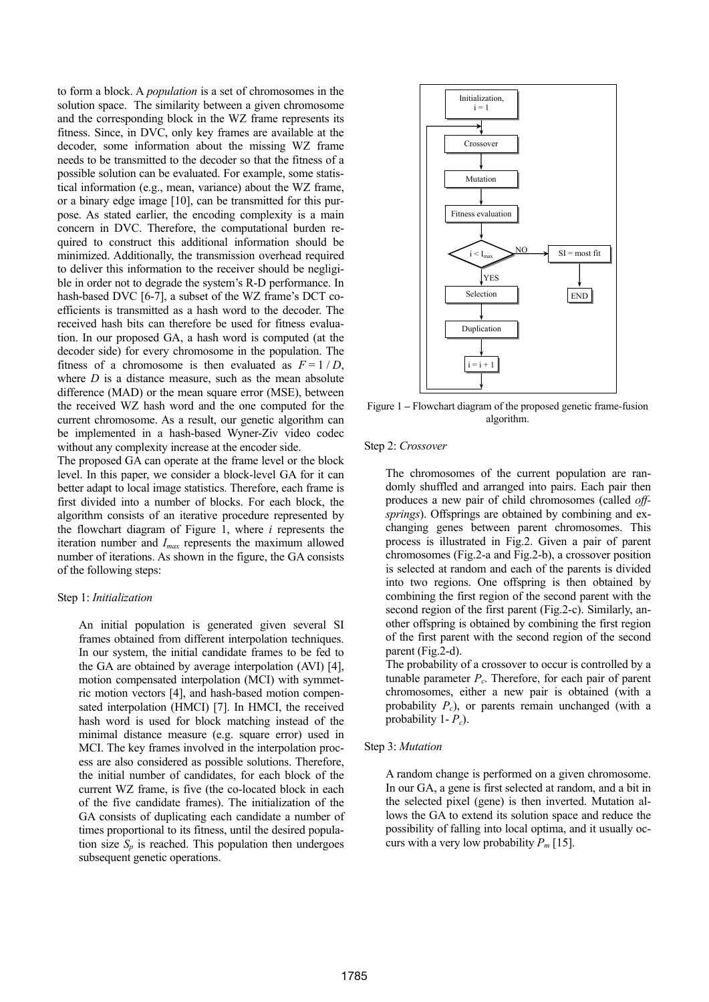to form a block. A *population* is a set of chromosomes in the solution space. The similarity between a given chromosome and the corresponding block in the WZ frame represents its fitness. Since, in DVC, only key frames are available at the decoder, some information about the missing WZ frame needs to be transmitted to the decoder so that the fitness of a possible solution can be evaluated. For example, some statistical information (e.g., mean, variance) about the WZ frame, or a binary edge image [10], can be transmitted for this purpose. As stated earlier, the encoding complexity is a main concern in DVC. Therefore, the computational burden required to construct this additional information should be minimized. Additionally, the transmission overhead required to deliver this information to the receiver should be negligible in order not to degrade the system's R-D performance. In hash-based DVC [6-7], a subset of the WZ frame's DCT coefficients is transmitted as a hash word to the decoder. The received hash bits can therefore be used for fitness evaluation. In our proposed GA, a hash word is computed (at the decoder side) for every chromosome in the population. The fitness of a chromosome is then evaluated as  $F = 1/D$ , where *D* is a distance measure, such as the mean absolute difference (MAD) or the mean square error (MSE), between the received WZ hash word and the one computed for the current chromosome. As a result, our genetic algorithm can be implemented in a hash-based Wyner-Ziv video codec without any complexity increase at the encoder side.

The proposed GA can operate at the frame level or the block level. In this paper, we consider a block-level GA for it can better adapt to local image statistics. Therefore, each frame is first divided into a number of blocks. For each block, the algorithm consists of an iterative procedure represented by the flowchart diagram of Figure 1, where *i* represents the iteration number and *Imax* represents the maximum allowed number of iterations. As shown in the figure, the GA consists of the following steps:

#### Step 1: *Initialization*

An initial population is generated given several SI frames obtained from different interpolation techniques. In our system, the initial candidate frames to be fed to the GA are obtained by average interpolation (AVI) [4], motion compensated interpolation (MCI) with symmetric motion vectors [4], and hash-based motion compensated interpolation (HMCI) [7]. In HMCI, the received hash word is used for block matching instead of the minimal distance measure (e.g. square error) used in MCI. The key frames involved in the interpolation process are also considered as possible solutions. Therefore, the initial number of candidates, for each block of the current WZ frame, is five (the co-located block in each of the five candidate frames). The initialization of the GA consists of duplicating each candidate a number of times proportional to its fitness, until the desired population size  $S_p$  is reached. This population then undergoes subsequent genetic operations.



Figure 1 **–** Flowchart diagram of the proposed genetic frame-fusion algorithm.

#### Step 2: *Crossover*

The chromosomes of the current population are randomly shuffled and arranged into pairs. Each pair then produces a new pair of child chromosomes (called *offsprings*). Offsprings are obtained by combining and exchanging genes between parent chromosomes. This process is illustrated in Fig.2. Given a pair of parent chromosomes (Fig.2-a and Fig.2-b), a crossover position is selected at random and each of the parents is divided into two regions. One offspring is then obtained by combining the first region of the second parent with the second region of the first parent (Fig.2-c). Similarly, another offspring is obtained by combining the first region of the first parent with the second region of the second parent (Fig.2-d).

The probability of a crossover to occur is controlled by a tunable parameter *Pc*. Therefore, for each pair of parent chromosomes, either a new pair is obtained (with a probability *Pc*), or parents remain unchanged (with a probability 1- *Pc*).

#### Step 3: *Mutation*

A random change is performed on a given chromosome. In our GA, a gene is first selected at random, and a bit in the selected pixel (gene) is then inverted. Mutation allows the GA to extend its solution space and reduce the possibility of falling into local optima, and it usually occurs with a very low probability *Pm* [15].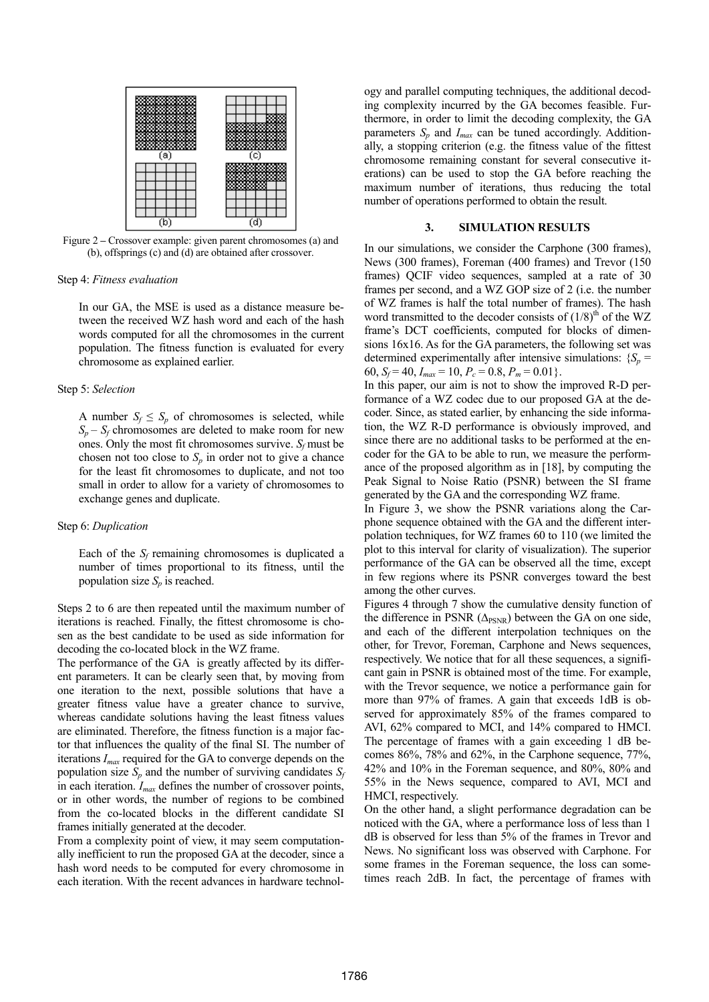

Figure 2 **–** Crossover example: given parent chromosomes (a) and (b), offsprings (c) and (d) are obtained after crossover.

#### Step 4: *Fitness evaluation*

In our GA, the MSE is used as a distance measure between the received WZ hash word and each of the hash words computed for all the chromosomes in the current population. The fitness function is evaluated for every chromosome as explained earlier.

#### Step 5: *Selection*

A number  $S_f \leq S_p$  of chromosomes is selected, while  $S_p - S_f$  chromosomes are deleted to make room for new ones. Only the most fit chromosomes survive.  $S_f$  must be chosen not too close to  $S_p$  in order not to give a chance for the least fit chromosomes to duplicate, and not too small in order to allow for a variety of chromosomes to exchange genes and duplicate.

## Step 6: *Duplication*

Each of the  $S_f$  remaining chromosomes is duplicated a number of times proportional to its fitness, until the population size  $S_n$  is reached.

Steps 2 to 6 are then repeated until the maximum number of iterations is reached. Finally, the fittest chromosome is chosen as the best candidate to be used as side information for decoding the co-located block in the WZ frame.

The performance of the GA is greatly affected by its different parameters. It can be clearly seen that, by moving from one iteration to the next, possible solutions that have a greater fitness value have a greater chance to survive, whereas candidate solutions having the least fitness values are eliminated. Therefore, the fitness function is a major factor that influences the quality of the final SI. The number of iterations *Imax* required for the GA to converge depends on the population size  $S_p$  and the number of surviving candidates  $S_f$ in each iteration. *Imax* defines the number of crossover points, or in other words, the number of regions to be combined from the co-located blocks in the different candidate SI frames initially generated at the decoder.

From a complexity point of view, it may seem computationally inefficient to run the proposed GA at the decoder, since a hash word needs to be computed for every chromosome in each iteration. With the recent advances in hardware technology and parallel computing techniques, the additional decoding complexity incurred by the GA becomes feasible. Furthermore, in order to limit the decoding complexity, the GA parameters  $S_p$  and  $I_{max}$  can be tuned accordingly. Additionally, a stopping criterion (e.g. the fitness value of the fittest chromosome remaining constant for several consecutive iterations) can be used to stop the GA before reaching the maximum number of iterations, thus reducing the total number of operations performed to obtain the result.

# **3. SIMULATION RESULTS**

In our simulations, we consider the Carphone (300 frames), News (300 frames), Foreman (400 frames) and Trevor (150 frames) QCIF video sequences, sampled at a rate of 30 frames per second, and a WZ GOP size of 2 (i.e. the number of WZ frames is half the total number of frames). The hash word transmitted to the decoder consists of  $(1/8)^{th}$  of the WZ frame's DCT coefficients, computed for blocks of dimensions 16x16. As for the GA parameters, the following set was determined experimentally after intensive simulations:  ${S_p}$  = 60,  $S_f = 40$ ,  $I_{max} = 10$ ,  $P_c = 0.8$ ,  $P_m = 0.01$ .

In this paper, our aim is not to show the improved R-D performance of a WZ codec due to our proposed GA at the decoder. Since, as stated earlier, by enhancing the side information, the WZ R-D performance is obviously improved, and since there are no additional tasks to be performed at the encoder for the GA to be able to run, we measure the performance of the proposed algorithm as in [18], by computing the Peak Signal to Noise Ratio (PSNR) between the SI frame generated by the GA and the corresponding WZ frame.

In Figure 3, we show the PSNR variations along the Carphone sequence obtained with the GA and the different interpolation techniques, for WZ frames 60 to 110 (we limited the plot to this interval for clarity of visualization). The superior performance of the GA can be observed all the time, except in few regions where its PSNR converges toward the best among the other curves.

Figures 4 through 7 show the cumulative density function of the difference in PSNR ( $\Delta_{PSNR}$ ) between the GA on one side, and each of the different interpolation techniques on the other, for Trevor, Foreman, Carphone and News sequences, respectively. We notice that for all these sequences, a significant gain in PSNR is obtained most of the time. For example, with the Trevor sequence, we notice a performance gain for more than 97% of frames. A gain that exceeds 1dB is observed for approximately 85% of the frames compared to AVI, 62% compared to MCI, and 14% compared to HMCI. The percentage of frames with a gain exceeding 1 dB becomes 86%, 78% and 62%, in the Carphone sequence, 77%, 42% and 10% in the Foreman sequence, and 80%, 80% and 55% in the News sequence, compared to AVI, MCI and HMCI, respectively.

On the other hand, a slight performance degradation can be noticed with the GA, where a performance loss of less than 1 dB is observed for less than 5% of the frames in Trevor and News. No significant loss was observed with Carphone. For some frames in the Foreman sequence, the loss can sometimes reach 2dB. In fact, the percentage of frames with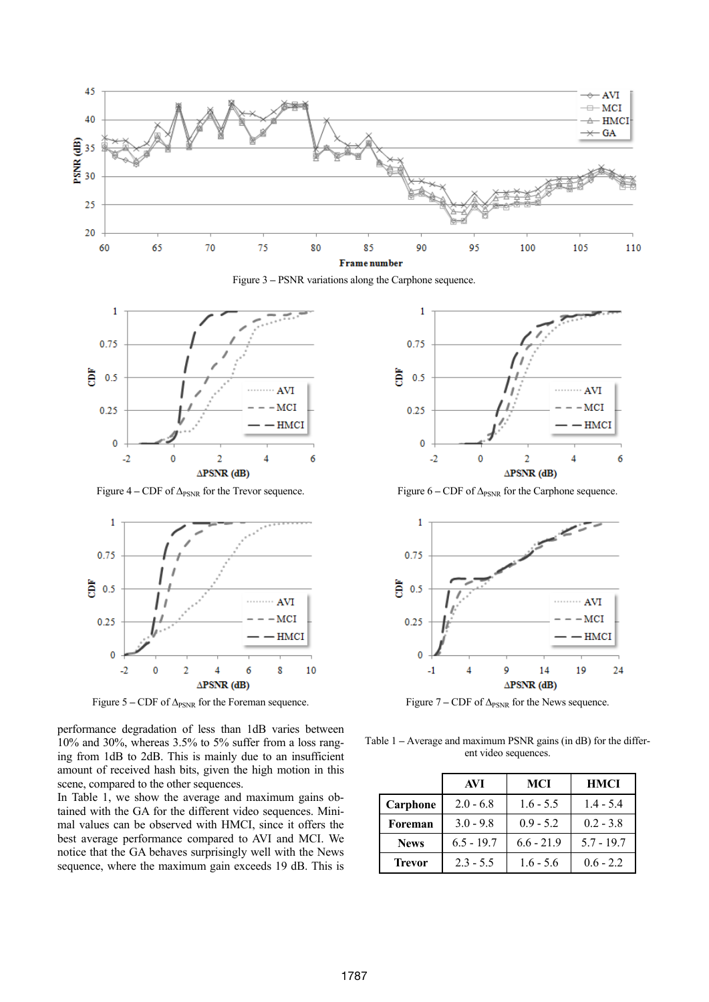

Figure 3 **–** PSNR variations along the Carphone sequence.



Figure  $4 - CDF$  of  $\Delta_{PSNR}$  for the Trevor sequence.



Figure 5 – CDF of Δ<sub>PSNR</sub> for the Foreman sequence.

performance degradation of less than 1dB varies between 10% and 30%, whereas 3.5% to 5% suffer from a loss ranging from 1dB to 2dB. This is mainly due to an insufficient amount of received hash bits, given the high motion in this scene, compared to the other sequences.

In Table 1, we show the average and maximum gains obtained with the GA for the different video sequences. Minimal values can be observed with HMCI, since it offers the best average performance compared to AVI and MCI. We notice that the GA behaves surprisingly well with the News sequence, where the maximum gain exceeds 19 dB. This is



Figure  $6 - CDF$  of  $\Delta_{PSNR}$  for the Carphone sequence.



Figure  $7 - CDF$  of  $\Delta_{PSNR}$  for the News sequence.

Table 1 **–** Average and maximum PSNR gains (in dB) for the different video sequences.

|               | AVI          | <b>MCI</b>   | <b>HMCI</b>  |
|---------------|--------------|--------------|--------------|
| Carphone      | $2.0 - 6.8$  | $1.6 - 5.5$  | $1.4 - 5.4$  |
| Foreman       | $3.0 - 9.8$  | $0.9 - 5.2$  | $0.2 - 3.8$  |
| <b>News</b>   | $6.5 - 19.7$ | $6.6 - 21.9$ | $5.7 - 19.7$ |
| <b>Trevor</b> | $2.3 - 5.5$  | $1.6 - 5.6$  | $06 - 22$    |